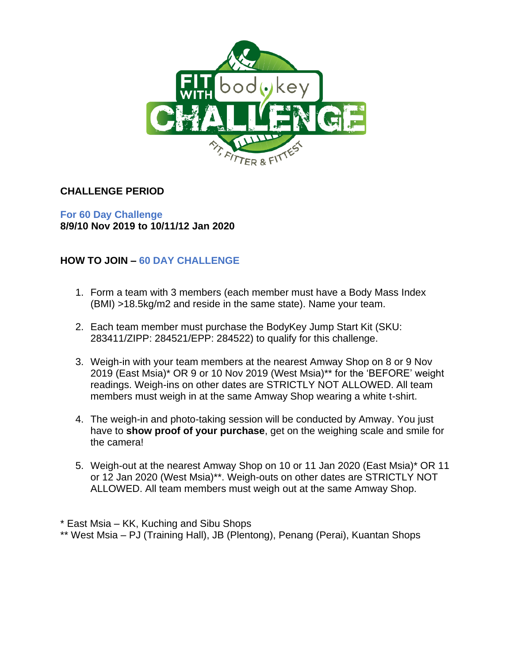

## **CHALLENGE PERIOD**

**For 60 Day Challenge 8/9/10 Nov 2019 to 10/11/12 Jan 2020**

# **HOW TO JOIN – 60 DAY CHALLENGE**

- 1. Form a team with 3 members (each member must have a Body Mass Index (BMI) >18.5kg/m2 and reside in the same state). Name your team.
- 2. Each team member must purchase the BodyKey Jump Start Kit (SKU: 283411/ZIPP: 284521/EPP: 284522) to qualify for this challenge.
- 3. Weigh-in with your team members at the nearest Amway Shop on 8 or 9 Nov 2019 (East Msia)\* OR 9 or 10 Nov 2019 (West Msia)\*\* for the 'BEFORE' weight readings. Weigh-ins on other dates are STRICTLY NOT ALLOWED. All team members must weigh in at the same Amway Shop wearing a white t-shirt.
- 4. The weigh-in and photo-taking session will be conducted by Amway. You just have to **show proof of your purchase**, get on the weighing scale and smile for the camera!
- 5. Weigh-out at the nearest Amway Shop on 10 or 11 Jan 2020 (East Msia)\* OR 11 or 12 Jan 2020 (West Msia)\*\*. Weigh-outs on other dates are STRICTLY NOT ALLOWED. All team members must weigh out at the same Amway Shop.

\* East Msia – KK, Kuching and Sibu Shops \*\* West Msia – PJ (Training Hall), JB (Plentong), Penang (Perai), Kuantan Shops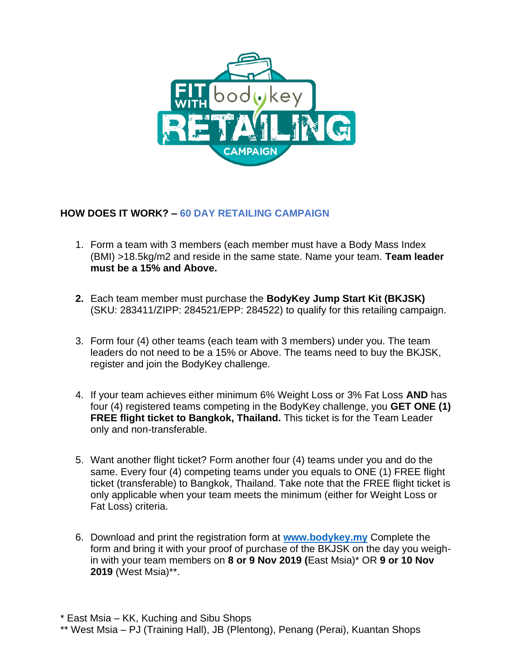

## **HOW DOES IT WORK? – 60 DAY RETAILING CAMPAIGN**

- 1. Form a team with 3 members (each member must have a Body Mass Index (BMI) >18.5kg/m2 and reside in the same state. Name your team. **Team leader must be a 15% and Above.**
- **2.** Each team member must purchase the **BodyKey Jump Start Kit (BKJSK)** (SKU: 283411/ZIPP: 284521/EPP: 284522) to qualify for this retailing campaign.
- 3. Form four (4) other teams (each team with 3 members) under you. The team leaders do not need to be a 15% or Above. The teams need to buy the BKJSK, register and join the BodyKey challenge.
- 4. If your team achieves either minimum 6% Weight Loss or 3% Fat Loss **AND** has four (4) registered teams competing in the BodyKey challenge, you **GET ONE (1) FREE flight ticket to Bangkok, Thailand.** This ticket is for the Team Leader only and non-transferable.
- 5. Want another flight ticket? Form another four (4) teams under you and do the same. Every four (4) competing teams under you equals to ONE (1) FREE flight ticket (transferable) to Bangkok, Thailand. Take note that the FREE flight ticket is only applicable when your team meets the minimum (either for Weight Loss or Fat Loss) criteria.
- 6. Download and print the registration form at **[www.bodykey.my](http://www.bodykey.my/)** Complete the form and bring it with your proof of purchase of the BKJSK on the day you weighin with your team members on **8 or 9 Nov 2019 (**East Msia)\* OR **9 or 10 Nov 2019** (West Msia)\*\*.

\* East Msia – KK, Kuching and Sibu Shops

\*\* West Msia – PJ (Training Hall), JB (Plentong), Penang (Perai), Kuantan Shops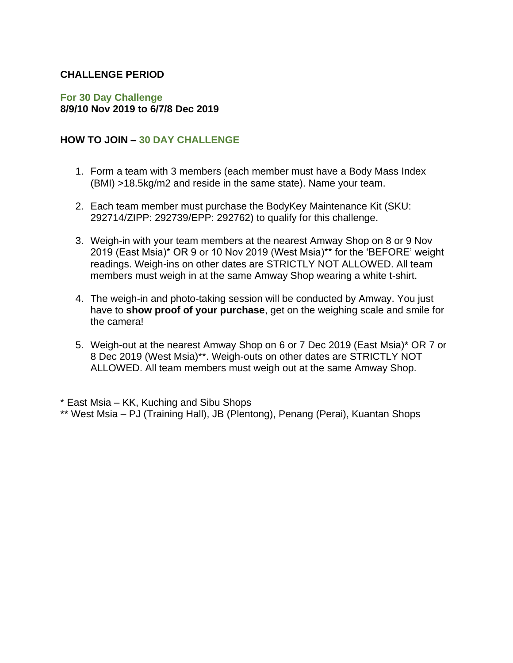### **CHALLENGE PERIOD**

#### **For 30 Day Challenge 8/9/10 Nov 2019 to 6/7/8 Dec 2019**

#### **HOW TO JOIN – 30 DAY CHALLENGE**

- 1. Form a team with 3 members (each member must have a Body Mass Index (BMI) >18.5kg/m2 and reside in the same state). Name your team.
- 2. Each team member must purchase the BodyKey Maintenance Kit (SKU: 292714/ZIPP: 292739/EPP: 292762) to qualify for this challenge.
- 3. Weigh-in with your team members at the nearest Amway Shop on 8 or 9 Nov 2019 (East Msia)\* OR 9 or 10 Nov 2019 (West Msia)\*\* for the 'BEFORE' weight readings. Weigh-ins on other dates are STRICTLY NOT ALLOWED. All team members must weigh in at the same Amway Shop wearing a white t-shirt.
- 4. The weigh-in and photo-taking session will be conducted by Amway. You just have to **show proof of your purchase**, get on the weighing scale and smile for the camera!
- 5. Weigh-out at the nearest Amway Shop on 6 or 7 Dec 2019 (East Msia)\* OR 7 or 8 Dec 2019 (West Msia)\*\*. Weigh-outs on other dates are STRICTLY NOT ALLOWED. All team members must weigh out at the same Amway Shop.

\* East Msia – KK, Kuching and Sibu Shops

<sup>\*\*</sup> West Msia – PJ (Training Hall), JB (Plentong), Penang (Perai), Kuantan Shops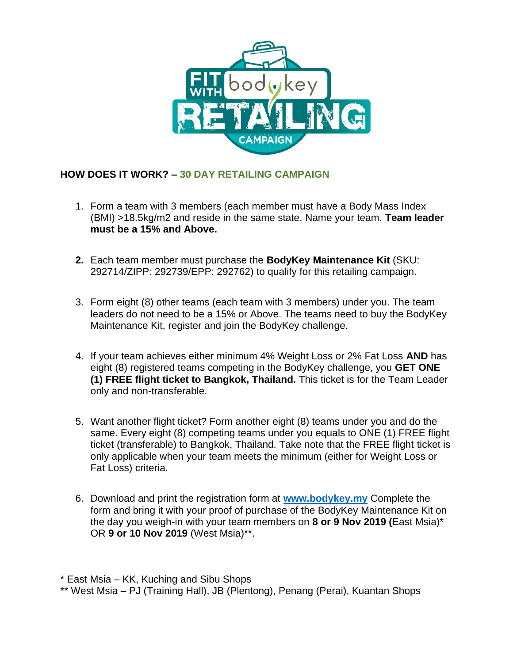

## **HOW DOES IT WORK? – 30 DAY RETAILING CAMPAIGN**

- 1. Form a team with 3 members (each member must have a Body Mass Index (BMI) >18.5kg/m2 and reside in the same state. Name your team. **Team leader must be a 15% and Above.**
- **2.** Each team member must purchase the **BodyKey Maintenance Kit** (SKU: 292714/ZIPP: 292739/EPP: 292762) to qualify for this retailing campaign.
- 3. Form eight (8) other teams (each team with 3 members) under you. The team leaders do not need to be a 15% or Above. The teams need to buy the BodyKey Maintenance Kit, register and join the BodyKey challenge.
- 4. If your team achieves either minimum 4% Weight Loss or 2% Fat Loss **AND** has eight (8) registered teams competing in the BodyKey challenge, you **GET ONE (1) FREE flight ticket to Bangkok, Thailand.** This ticket is for the Team Leader only and non-transferable.
- 5. Want another flight ticket? Form another eight (8) teams under you and do the same. Every eight (8) competing teams under you equals to ONE (1) FREE flight ticket (transferable) to Bangkok, Thailand. Take note that the FREE flight ticket is only applicable when your team meets the minimum (either for Weight Loss or Fat Loss) criteria.
- 6. Download and print the registration form at **[www.bodykey.my](http://www.bodykey.my/)** Complete the form and bring it with your proof of purchase of the BodyKey Maintenance Kit on the day you weigh-in with your team members on **8 or 9 Nov 2019 (**East Msia)\* OR **9 or 10 Nov 2019** (West Msia)\*\*.

\* East Msia – KK, Kuching and Sibu Shops

<sup>\*\*</sup> West Msia – PJ (Training Hall), JB (Plentong), Penang (Perai), Kuantan Shops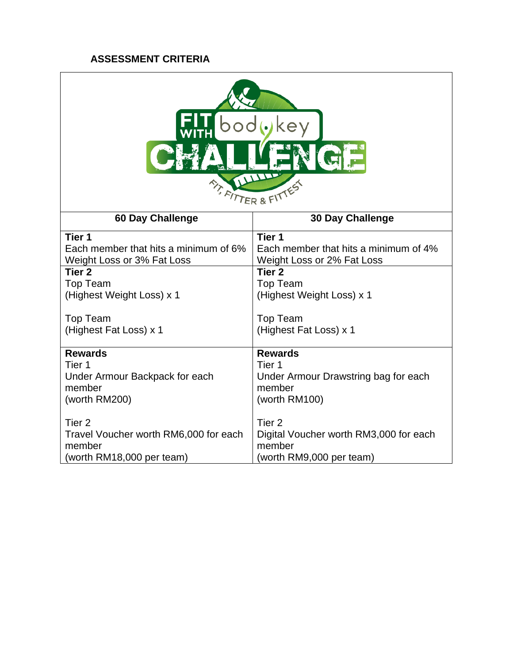## **ASSESSMENT CRITERIA**

| key<br><b>ATTER &amp; FIT</b>         |                                        |
|---------------------------------------|----------------------------------------|
| <b>60 Day Challenge</b>               | <b>30 Day Challenge</b>                |
| Tier <sub>1</sub>                     | Tier 1                                 |
| Each member that hits a minimum of 6% | Each member that hits a minimum of 4%  |
| Weight Loss or 3% Fat Loss            | Weight Loss or 2% Fat Loss             |
| Tier <sub>2</sub>                     | Tier <sub>2</sub>                      |
| <b>Top Team</b>                       | <b>Top Team</b>                        |
| (Highest Weight Loss) x 1             | (Highest Weight Loss) x 1              |
| <b>Top Team</b>                       | <b>Top Team</b>                        |
| (Highest Fat Loss) x 1                | (Highest Fat Loss) x 1                 |
| <b>Rewards</b>                        | <b>Rewards</b>                         |
| Tier 1                                | Tier 1                                 |
| Under Armour Backpack for each        | Under Armour Drawstring bag for each   |
| member                                | member                                 |
| (worth RM200)                         | (worth RM100)                          |
| Tier <sub>2</sub>                     | Tier <sub>2</sub>                      |
| Travel Voucher worth RM6,000 for each | Digital Voucher worth RM3,000 for each |
| member                                | member                                 |
| (worth RM18,000 per team)             | (worth RM9,000 per team)               |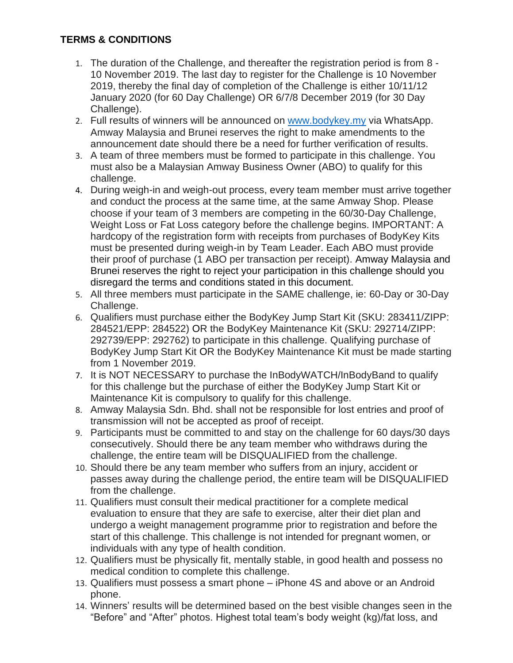## **TERMS & CONDITIONS**

- 1. The duration of the Challenge, and thereafter the registration period is from 8 10 November 2019. The last day to register for the Challenge is 10 November 2019, thereby the final day of completion of the Challenge is either 10/11/12 January 2020 (for 60 Day Challenge) OR 6/7/8 December 2019 (for 30 Day Challenge).
- 2. Full results of winners will be announced on [www.bodykey.my](http://www.bodykey.my/) via WhatsApp. Amway Malaysia and Brunei reserves the right to make amendments to the announcement date should there be a need for further verification of results.
- 3. A team of three members must be formed to participate in this challenge. You must also be a Malaysian Amway Business Owner (ABO) to qualify for this challenge.
- 4. During weigh-in and weigh-out process, every team member must arrive together and conduct the process at the same time, at the same Amway Shop. Please choose if your team of 3 members are competing in the 60/30-Day Challenge, Weight Loss or Fat Loss category before the challenge begins. IMPORTANT: A hardcopy of the registration form with receipts from purchases of BodyKey Kits must be presented during weigh-in by Team Leader. Each ABO must provide their proof of purchase (1 ABO per transaction per receipt). Amway Malaysia and Brunei reserves the right to reject your participation in this challenge should you disregard the terms and conditions stated in this document.
- 5. All three members must participate in the SAME challenge, ie: 60-Day or 30-Day Challenge.
- 6. Qualifiers must purchase either the BodyKey Jump Start Kit (SKU: 283411/ZIPP: 284521/EPP: 284522) OR the BodyKey Maintenance Kit (SKU: 292714/ZIPP: 292739/EPP: 292762) to participate in this challenge. Qualifying purchase of BodyKey Jump Start Kit OR the BodyKey Maintenance Kit must be made starting from 1 November 2019.
- 7. It is NOT NECESSARY to purchase the InBodyWATCH/InBodyBand to qualify for this challenge but the purchase of either the BodyKey Jump Start Kit or Maintenance Kit is compulsory to qualify for this challenge.
- 8. Amway Malaysia Sdn. Bhd. shall not be responsible for lost entries and proof of transmission will not be accepted as proof of receipt.
- 9. Participants must be committed to and stay on the challenge for 60 days/30 days consecutively. Should there be any team member who withdraws during the challenge, the entire team will be DISQUALIFIED from the challenge.
- 10. Should there be any team member who suffers from an injury, accident or passes away during the challenge period, the entire team will be DISQUALIFIED from the challenge.
- 11. Qualifiers must consult their medical practitioner for a complete medical evaluation to ensure that they are safe to exercise, alter their diet plan and undergo a weight management programme prior to registration and before the start of this challenge. This challenge is not intended for pregnant women, or individuals with any type of health condition.
- 12. Qualifiers must be physically fit, mentally stable, in good health and possess no medical condition to complete this challenge.
- 13. Qualifiers must possess a smart phone iPhone 4S and above or an Android phone.
- 14. Winners' results will be determined based on the best visible changes seen in the "Before" and "After" photos. Highest total team's body weight (kg)/fat loss, and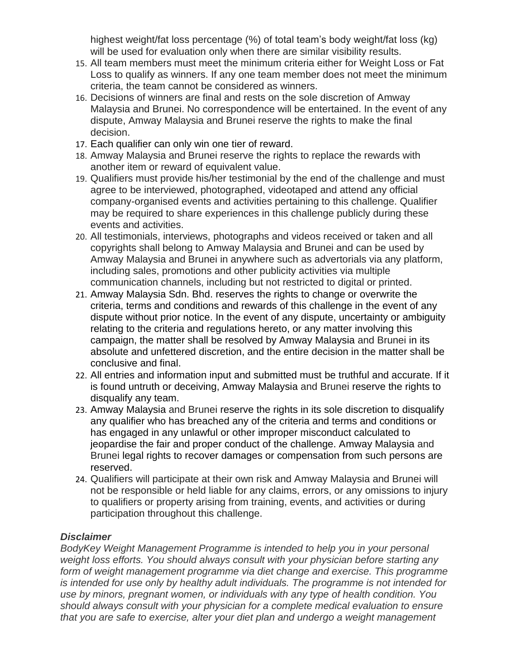highest weight/fat loss percentage (%) of total team's body weight/fat loss (kg) will be used for evaluation only when there are similar visibility results.

- 15. All team members must meet the minimum criteria either for Weight Loss or Fat Loss to qualify as winners. If any one team member does not meet the minimum criteria, the team cannot be considered as winners.
- 16. Decisions of winners are final and rests on the sole discretion of Amway Malaysia and Brunei. No correspondence will be entertained. In the event of any dispute, Amway Malaysia and Brunei reserve the rights to make the final decision.
- 17. Each qualifier can only win one tier of reward.
- 18. Amway Malaysia and Brunei reserve the rights to replace the rewards with another item or reward of equivalent value.
- 19. Qualifiers must provide his/her testimonial by the end of the challenge and must agree to be interviewed, photographed, videotaped and attend any official company-organised events and activities pertaining to this challenge. Qualifier may be required to share experiences in this challenge publicly during these events and activities.
- 20. All testimonials, interviews, photographs and videos received or taken and all copyrights shall belong to Amway Malaysia and Brunei and can be used by Amway Malaysia and Brunei in anywhere such as advertorials via any platform, including sales, promotions and other publicity activities via multiple communication channels, including but not restricted to digital or printed.
- 21. Amway Malaysia Sdn. Bhd. reserves the rights to change or overwrite the criteria, terms and conditions and rewards of this challenge in the event of any dispute without prior notice. In the event of any dispute, uncertainty or ambiguity relating to the criteria and regulations hereto, or any matter involving this campaign, the matter shall be resolved by Amway Malaysia and Brunei in its absolute and unfettered discretion, and the entire decision in the matter shall be conclusive and final.
- 22. All entries and information input and submitted must be truthful and accurate. If it is found untruth or deceiving, Amway Malaysia and Brunei reserve the rights to disqualify any team.
- 23. Amway Malaysia and Brunei reserve the rights in its sole discretion to disqualify any qualifier who has breached any of the criteria and terms and conditions or has engaged in any unlawful or other improper misconduct calculated to jeopardise the fair and proper conduct of the challenge. Amway Malaysia and Brunei legal rights to recover damages or compensation from such persons are reserved.
- 24. Qualifiers will participate at their own risk and Amway Malaysia and Brunei will not be responsible or held liable for any claims, errors, or any omissions to injury to qualifiers or property arising from training, events, and activities or during participation throughout this challenge.

### *Disclaimer*

*BodyKey Weight Management Programme is intended to help you in your personal weight loss efforts. You should always consult with your physician before starting any*  form of weight management programme via diet change and exercise. This programme *is intended for use only by healthy adult individuals. The programme is not intended for use by minors, pregnant women, or individuals with any type of health condition. You should always consult with your physician for a complete medical evaluation to ensure that you are safe to exercise, alter your diet plan and undergo a weight management*